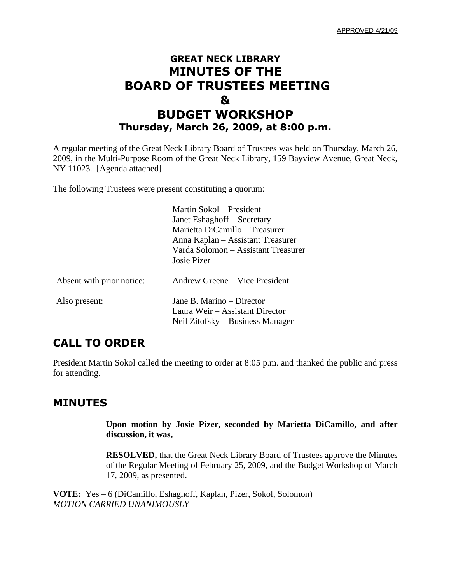APPROVED 4/21/09

# **GREAT NECK LIBRARY MINUTES OF THE BOARD OF TRUSTEES MEETING & BUDGET WORKSHOP Thursday, March 26, 2009, at 8:00 p.m.**

A regular meeting of the Great Neck Library Board of Trustees was held on Thursday, March 26, 2009, in the Multi-Purpose Room of the Great Neck Library, 159 Bayview Avenue, Great Neck, NY 11023. [Agenda attached]

The following Trustees were present constituting a quorum:

|                           | Martin Sokol – President<br>Janet Eshaghoff – Secretary<br>Marietta DiCamillo – Treasurer<br>Anna Kaplan – Assistant Treasurer<br>Varda Solomon – Assistant Treasurer<br>Josie Pizer |
|---------------------------|--------------------------------------------------------------------------------------------------------------------------------------------------------------------------------------|
| Absent with prior notice: | Andrew Greene – Vice President                                                                                                                                                       |
| Also present:             | Jane B. Marino – Director<br>Laura Weir – Assistant Director<br>Neil Zitofsky – Business Manager                                                                                     |

## **CALL TO ORDER**

President Martin Sokol called the meeting to order at 8:05 p.m. and thanked the public and press for attending.

## **MINUTES**

**Upon motion by Josie Pizer, seconded by Marietta DiCamillo, and after discussion, it was,**

**RESOLVED,** that the Great Neck Library Board of Trustees approve the Minutes of the Regular Meeting of February 25, 2009, and the Budget Workshop of March 17, 2009, as presented.

**VOTE:** Yes – 6 (DiCamillo, Eshaghoff, Kaplan, Pizer, Sokol, Solomon) *MOTION CARRIED UNANIMOUSLY*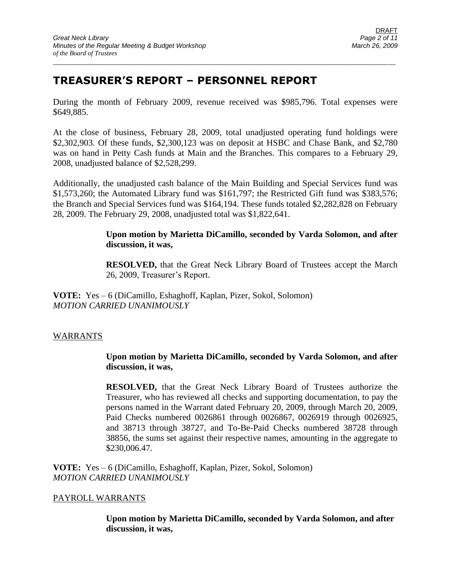# **TREASURER'S REPORT – PERSONNEL REPORT**

During the month of February 2009, revenue received was \$985,796. Total expenses were \$649,885.

\_\_\_\_\_\_\_\_\_\_\_\_\_\_\_\_\_\_\_\_\_\_\_\_\_\_\_\_\_\_\_\_\_\_\_\_\_\_\_\_\_\_\_\_\_\_\_\_\_\_\_\_\_\_\_\_\_\_\_\_\_\_\_\_\_\_\_\_\_\_\_\_\_\_\_\_\_\_\_\_\_\_\_\_\_\_\_\_\_\_\_\_\_

At the close of business, February 28, 2009, total unadjusted operating fund holdings were \$2,302,903. Of these funds, \$2,300,123 was on deposit at HSBC and Chase Bank, and \$2,780 was on hand in Petty Cash funds at Main and the Branches. This compares to a February 29, 2008, unadjusted balance of \$2,528,299.

Additionally, the unadjusted cash balance of the Main Building and Special Services fund was \$1,573,260; the Automated Library fund was \$161,797; the Restricted Gift fund was \$383,576; the Branch and Special Services fund was \$164,194. These funds totaled \$2,282,828 on February 28, 2009. The February 29, 2008, unadjusted total was \$1,822,641.

### **Upon motion by Marietta DiCamillo, seconded by Varda Solomon, and after discussion, it was,**

**RESOLVED,** that the Great Neck Library Board of Trustees accept the March 26, 2009, Treasurer's Report.

**VOTE:** Yes – 6 (DiCamillo, Eshaghoff, Kaplan, Pizer, Sokol, Solomon) *MOTION CARRIED UNANIMOUSLY*

### WARRANTS

### **Upon motion by Marietta DiCamillo, seconded by Varda Solomon, and after discussion, it was,**

**RESOLVED,** that the Great Neck Library Board of Trustees authorize the Treasurer, who has reviewed all checks and supporting documentation, to pay the persons named in the Warrant dated February 20, 2009, through March 20, 2009, Paid Checks numbered 0026861 through 0026867, 0026919 through 0026925, and 38713 through 38727, and To-Be-Paid Checks numbered 38728 through 38856, the sums set against their respective names, amounting in the aggregate to \$230,006.47.

**VOTE:** Yes – 6 (DiCamillo, Eshaghoff, Kaplan, Pizer, Sokol, Solomon) *MOTION CARRIED UNANIMOUSLY*

### PAYROLL WARRANTS

**Upon motion by Marietta DiCamillo, seconded by Varda Solomon, and after discussion, it was,**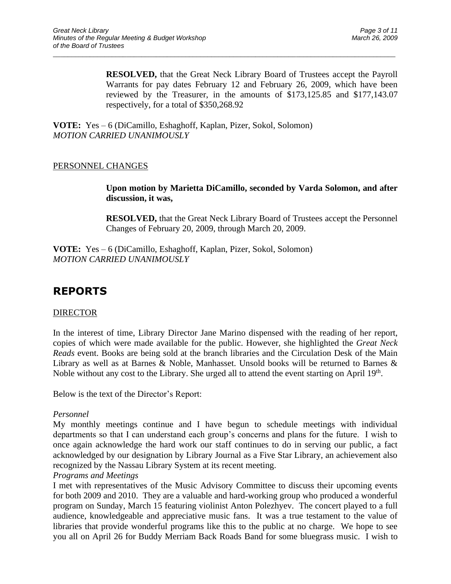**RESOLVED,** that the Great Neck Library Board of Trustees accept the Payroll Warrants for pay dates February 12 and February 26, 2009, which have been reviewed by the Treasurer, in the amounts of \$173,125.85 and \$177,143.07 respectively, for a total of \$350,268.92

\_\_\_\_\_\_\_\_\_\_\_\_\_\_\_\_\_\_\_\_\_\_\_\_\_\_\_\_\_\_\_\_\_\_\_\_\_\_\_\_\_\_\_\_\_\_\_\_\_\_\_\_\_\_\_\_\_\_\_\_\_\_\_\_\_\_\_\_\_\_\_\_\_\_\_\_\_\_\_\_\_\_\_\_\_\_\_\_\_\_\_\_\_

**VOTE:** Yes – 6 (DiCamillo, Eshaghoff, Kaplan, Pizer, Sokol, Solomon) *MOTION CARRIED UNANIMOUSLY*

### PERSONNEL CHANGES

**Upon motion by Marietta DiCamillo, seconded by Varda Solomon, and after discussion, it was,**

**RESOLVED,** that the Great Neck Library Board of Trustees accept the Personnel Changes of February 20, 2009, through March 20, 2009.

**VOTE:** Yes – 6 (DiCamillo, Eshaghoff, Kaplan, Pizer, Sokol, Solomon) *MOTION CARRIED UNANIMOUSLY*

# **REPORTS**

### DIRECTOR

In the interest of time, Library Director Jane Marino dispensed with the reading of her report, copies of which were made available for the public. However, she highlighted the *Great Neck Reads* event. Books are being sold at the branch libraries and the Circulation Desk of the Main Library as well as at Barnes & Noble, Manhasset. Unsold books will be returned to Barnes & Noble without any cost to the Library. She urged all to attend the event starting on April 19<sup>th</sup>.

Below is the text of the Director's Report:

#### *Personnel*

My monthly meetings continue and I have begun to schedule meetings with individual departments so that I can understand each group's concerns and plans for the future. I wish to once again acknowledge the hard work our staff continues to do in serving our public, a fact acknowledged by our designation by Library Journal as a Five Star Library, an achievement also recognized by the Nassau Library System at its recent meeting.

#### *Programs and Meetings*

I met with representatives of the Music Advisory Committee to discuss their upcoming events for both 2009 and 2010. They are a valuable and hard-working group who produced a wonderful program on Sunday, March 15 featuring violinist Anton Polezhyev. The concert played to a full audience, knowledgeable and appreciative music fans. It was a true testament to the value of libraries that provide wonderful programs like this to the public at no charge. We hope to see you all on April 26 for Buddy Merriam Back Roads Band for some bluegrass music. I wish to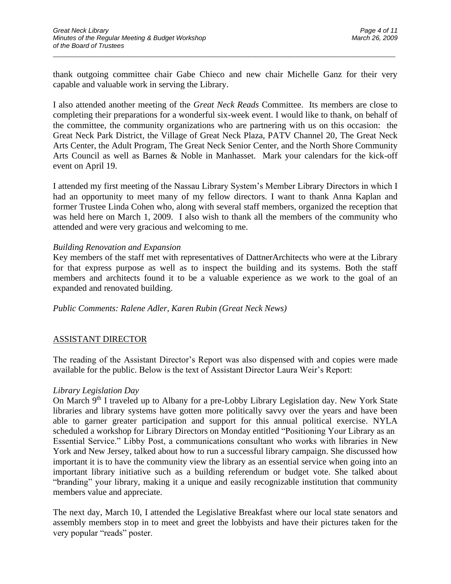thank outgoing committee chair Gabe Chieco and new chair Michelle Ganz for their very capable and valuable work in serving the Library.

\_\_\_\_\_\_\_\_\_\_\_\_\_\_\_\_\_\_\_\_\_\_\_\_\_\_\_\_\_\_\_\_\_\_\_\_\_\_\_\_\_\_\_\_\_\_\_\_\_\_\_\_\_\_\_\_\_\_\_\_\_\_\_\_\_\_\_\_\_\_\_\_\_\_\_\_\_\_\_\_\_\_\_\_\_\_\_\_\_\_\_\_\_

I also attended another meeting of the *Great Neck Reads* Committee. Its members are close to completing their preparations for a wonderful six-week event. I would like to thank, on behalf of the committee, the community organizations who are partnering with us on this occasion: the Great Neck Park District, the Village of Great Neck Plaza, PATV Channel 20, The Great Neck Arts Center, the Adult Program, The Great Neck Senior Center, and the North Shore Community Arts Council as well as Barnes & Noble in Manhasset. Mark your calendars for the kick-off event on April 19.

I attended my first meeting of the Nassau Library System's Member Library Directors in which I had an opportunity to meet many of my fellow directors. I want to thank Anna Kaplan and former Trustee Linda Cohen who, along with several staff members, organized the reception that was held here on March 1, 2009. I also wish to thank all the members of the community who attended and were very gracious and welcoming to me.

#### *Building Renovation and Expansion*

Key members of the staff met with representatives of DattnerArchitects who were at the Library for that express purpose as well as to inspect the building and its systems. Both the staff members and architects found it to be a valuable experience as we work to the goal of an expanded and renovated building.

*Public Comments: Ralene Adler, Karen Rubin (Great Neck News)*

### ASSISTANT DIRECTOR

The reading of the Assistant Director's Report was also dispensed with and copies were made available for the public. Below is the text of Assistant Director Laura Weir's Report:

#### *Library Legislation Day*

On March 9<sup>th</sup> I traveled up to Albany for a pre-Lobby Library Legislation day. New York State libraries and library systems have gotten more politically savvy over the years and have been able to garner greater participation and support for this annual political exercise. NYLA scheduled a workshop for Library Directors on Monday entitled "Positioning Your Library as an Essential Service." Libby Post, a communications consultant who works with libraries in New York and New Jersey, talked about how to run a successful library campaign. She discussed how important it is to have the community view the library as an essential service when going into an important library initiative such as a building referendum or budget vote. She talked about "branding" your library, making it a unique and easily recognizable institution that community members value and appreciate.

The next day, March 10, I attended the Legislative Breakfast where our local state senators and assembly members stop in to meet and greet the lobbyists and have their pictures taken for the very popular "reads" poster.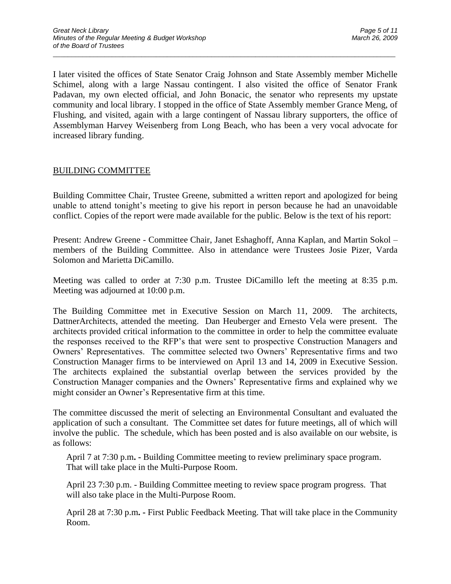I later visited the offices of State Senator Craig Johnson and State Assembly member Michelle Schimel, along with a large Nassau contingent. I also visited the office of Senator Frank Padavan, my own elected official, and John Bonacic, the senator who represents my upstate community and local library. I stopped in the office of State Assembly member Grance Meng, of Flushing, and visited, again with a large contingent of Nassau library supporters, the office of Assemblyman Harvey Weisenberg from Long Beach, who has been a very vocal advocate for increased library funding.

\_\_\_\_\_\_\_\_\_\_\_\_\_\_\_\_\_\_\_\_\_\_\_\_\_\_\_\_\_\_\_\_\_\_\_\_\_\_\_\_\_\_\_\_\_\_\_\_\_\_\_\_\_\_\_\_\_\_\_\_\_\_\_\_\_\_\_\_\_\_\_\_\_\_\_\_\_\_\_\_\_\_\_\_\_\_\_\_\_\_\_\_\_

### BUILDING COMMITTEE

Building Committee Chair, Trustee Greene, submitted a written report and apologized for being unable to attend tonight's meeting to give his report in person because he had an unavoidable conflict. Copies of the report were made available for the public. Below is the text of his report:

Present: Andrew Greene - Committee Chair, Janet Eshaghoff, Anna Kaplan, and Martin Sokol – members of the Building Committee. Also in attendance were Trustees Josie Pizer, Varda Solomon and Marietta DiCamillo.

Meeting was called to order at 7:30 p.m. Trustee DiCamillo left the meeting at 8:35 p.m. Meeting was adjourned at 10:00 p.m.

The Building Committee met in Executive Session on March 11, 2009. The architects, DattnerArchitects, attended the meeting. Dan Heuberger and Ernesto Vela were present. The architects provided critical information to the committee in order to help the committee evaluate the responses received to the RFP's that were sent to prospective Construction Managers and Owners' Representatives. The committee selected two Owners' Representative firms and two Construction Manager firms to be interviewed on April 13 and 14, 2009 in Executive Session. The architects explained the substantial overlap between the services provided by the Construction Manager companies and the Owners' Representative firms and explained why we might consider an Owner's Representative firm at this time.

The committee discussed the merit of selecting an Environmental Consultant and evaluated the application of such a consultant. The Committee set dates for future meetings, all of which will involve the public. The schedule, which has been posted and is also available on our website, is as follows:

April 7 at 7:30 p.m**. -** Building Committee meeting to review preliminary space program. That will take place in the Multi-Purpose Room.

April 23 7:30 p.m. - Building Committee meeting to review space program progress. That will also take place in the Multi-Purpose Room.

April 28 at 7:30 p.m**. -** First Public Feedback Meeting. That will take place in the Community Room.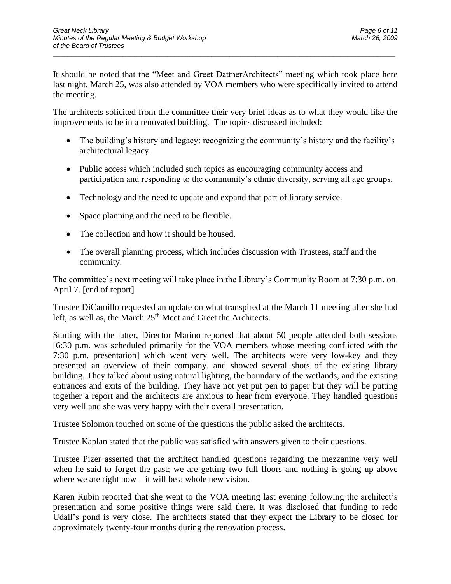It should be noted that the "Meet and Greet DattnerArchitects" meeting which took place here last night, March 25, was also attended by VOA members who were specifically invited to attend the meeting.

\_\_\_\_\_\_\_\_\_\_\_\_\_\_\_\_\_\_\_\_\_\_\_\_\_\_\_\_\_\_\_\_\_\_\_\_\_\_\_\_\_\_\_\_\_\_\_\_\_\_\_\_\_\_\_\_\_\_\_\_\_\_\_\_\_\_\_\_\_\_\_\_\_\_\_\_\_\_\_\_\_\_\_\_\_\_\_\_\_\_\_\_\_

The architects solicited from the committee their very brief ideas as to what they would like the improvements to be in a renovated building. The topics discussed included:

- The building's history and legacy: recognizing the community's history and the facility's architectural legacy.
- Public access which included such topics as encouraging community access and participation and responding to the community's ethnic diversity, serving all age groups.
- Technology and the need to update and expand that part of library service.
- Space planning and the need to be flexible.
- The collection and how it should be housed.
- The overall planning process, which includes discussion with Trustees, staff and the community.

The committee's next meeting will take place in the Library's Community Room at 7:30 p.m. on April 7. [end of report]

Trustee DiCamillo requested an update on what transpired at the March 11 meeting after she had left, as well as, the March 25<sup>th</sup> Meet and Greet the Architects.

Starting with the latter, Director Marino reported that about 50 people attended both sessions [6:30 p.m. was scheduled primarily for the VOA members whose meeting conflicted with the 7:30 p.m. presentation] which went very well. The architects were very low-key and they presented an overview of their company, and showed several shots of the existing library building. They talked about using natural lighting, the boundary of the wetlands, and the existing entrances and exits of the building. They have not yet put pen to paper but they will be putting together a report and the architects are anxious to hear from everyone. They handled questions very well and she was very happy with their overall presentation.

Trustee Solomon touched on some of the questions the public asked the architects.

Trustee Kaplan stated that the public was satisfied with answers given to their questions.

Trustee Pizer asserted that the architect handled questions regarding the mezzanine very well when he said to forget the past; we are getting two full floors and nothing is going up above where we are right now  $-$  it will be a whole new vision.

Karen Rubin reported that she went to the VOA meeting last evening following the architect's presentation and some positive things were said there. It was disclosed that funding to redo Udall's pond is very close. The architects stated that they expect the Library to be closed for approximately twenty-four months during the renovation process.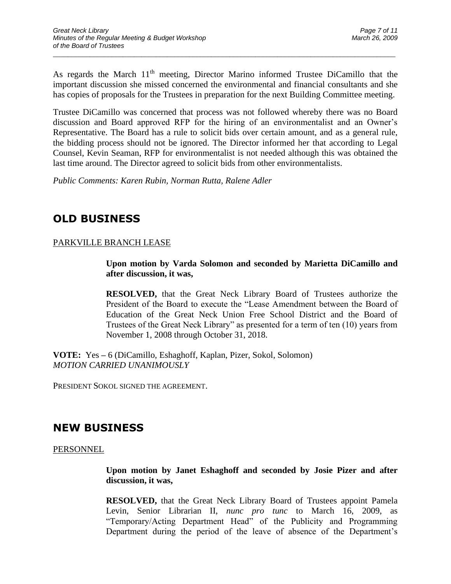As regards the March 11<sup>th</sup> meeting, Director Marino informed Trustee DiCamillo that the important discussion she missed concerned the environmental and financial consultants and she has copies of proposals for the Trustees in preparation for the next Building Committee meeting.

\_\_\_\_\_\_\_\_\_\_\_\_\_\_\_\_\_\_\_\_\_\_\_\_\_\_\_\_\_\_\_\_\_\_\_\_\_\_\_\_\_\_\_\_\_\_\_\_\_\_\_\_\_\_\_\_\_\_\_\_\_\_\_\_\_\_\_\_\_\_\_\_\_\_\_\_\_\_\_\_\_\_\_\_\_\_\_\_\_\_\_\_\_

Trustee DiCamillo was concerned that process was not followed whereby there was no Board discussion and Board approved RFP for the hiring of an environmentalist and an Owner's Representative. The Board has a rule to solicit bids over certain amount, and as a general rule, the bidding process should not be ignored. The Director informed her that according to Legal Counsel, Kevin Seaman, RFP for environmentalist is not needed although this was obtained the last time around. The Director agreed to solicit bids from other environmentalists.

*Public Comments: Karen Rubin, Norman Rutta, Ralene Adler*

# **OLD BUSINESS**

### PARKVILLE BRANCH LEASE

**Upon motion by Varda Solomon and seconded by Marietta DiCamillo and after discussion, it was,**

**RESOLVED,** that the Great Neck Library Board of Trustees authorize the President of the Board to execute the "Lease Amendment between the Board of Education of the Great Neck Union Free School District and the Board of Trustees of the Great Neck Library" as presented for a term of ten (10) years from November 1, 2008 through October 31, 2018.

**VOTE:** Yes **–** 6 (DiCamillo, Eshaghoff, Kaplan, Pizer, Sokol, Solomon) *MOTION CARRIED UNANIMOUSLY*

PRESIDENT SOKOL SIGNED THE AGREEMENT.

## **NEW BUSINESS**

PERSONNEL

**Upon motion by Janet Eshaghoff and seconded by Josie Pizer and after discussion, it was,**

**RESOLVED,** that the Great Neck Library Board of Trustees appoint Pamela Levin, Senior Librarian II, *nunc pro tunc* to March 16, 2009, as "Temporary/Acting Department Head" of the Publicity and Programming Department during the period of the leave of absence of the Department's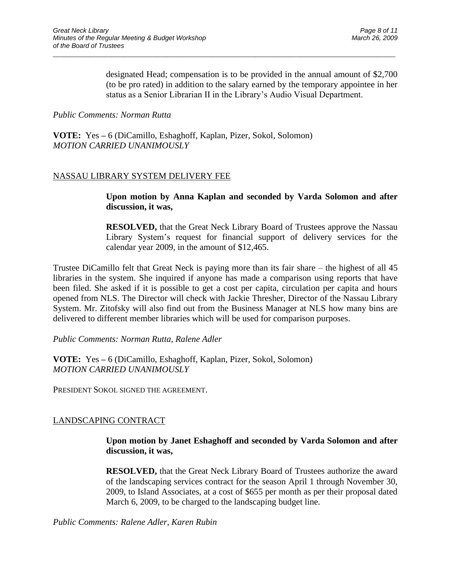designated Head; compensation is to be provided in the annual amount of \$2,700 (to be pro rated) in addition to the salary earned by the temporary appointee in her status as a Senior Librarian II in the Library's Audio Visual Department.

\_\_\_\_\_\_\_\_\_\_\_\_\_\_\_\_\_\_\_\_\_\_\_\_\_\_\_\_\_\_\_\_\_\_\_\_\_\_\_\_\_\_\_\_\_\_\_\_\_\_\_\_\_\_\_\_\_\_\_\_\_\_\_\_\_\_\_\_\_\_\_\_\_\_\_\_\_\_\_\_\_\_\_\_\_\_\_\_\_\_\_\_\_

#### *Public Comments: Norman Rutta*

**VOTE:** Yes **–** 6 (DiCamillo, Eshaghoff, Kaplan, Pizer, Sokol, Solomon) *MOTION CARRIED UNANIMOUSLY*

### NASSAU LIBRARY SYSTEM DELIVERY FEE

**Upon motion by Anna Kaplan and seconded by Varda Solomon and after discussion, it was,**

**RESOLVED,** that the Great Neck Library Board of Trustees approve the Nassau Library System's request for financial support of delivery services for the calendar year 2009, in the amount of \$12,465.

Trustee DiCamillo felt that Great Neck is paying more than its fair share – the highest of all 45 libraries in the system. She inquired if anyone has made a comparison using reports that have been filed. She asked if it is possible to get a cost per capita, circulation per capita and hours opened from NLS. The Director will check with Jackie Thresher, Director of the Nassau Library System. Mr. Zitofsky will also find out from the Business Manager at NLS how many bins are delivered to different member libraries which will be used for comparison purposes.

*Public Comments: Norman Rutta, Ralene Adler*

**VOTE:** Yes **–** 6 (DiCamillo, Eshaghoff, Kaplan, Pizer, Sokol, Solomon) *MOTION CARRIED UNANIMOUSLY*

PRESIDENT SOKOL SIGNED THE AGREEMENT.

## LANDSCAPING CONTRACT

**Upon motion by Janet Eshaghoff and seconded by Varda Solomon and after discussion, it was,**

**RESOLVED,** that the Great Neck Library Board of Trustees authorize the award of the landscaping services contract for the season April 1 through November 30, 2009, to Island Associates, at a cost of \$655 per month as per their proposal dated March 6, 2009, to be charged to the landscaping budget line.

*Public Comments: Ralene Adler, Karen Rubin*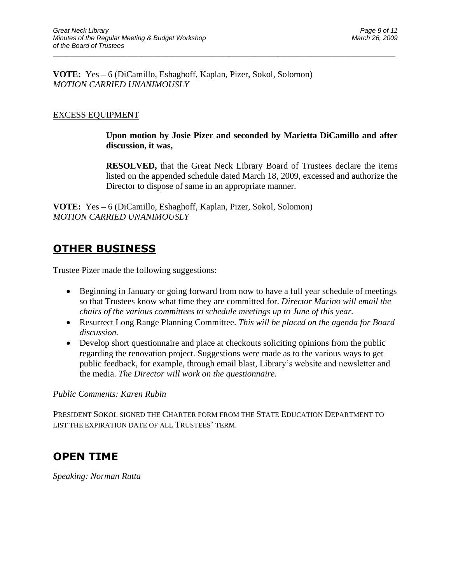**VOTE:** Yes **–** 6 (DiCamillo, Eshaghoff, Kaplan, Pizer, Sokol, Solomon) *MOTION CARRIED UNANIMOUSLY*

\_\_\_\_\_\_\_\_\_\_\_\_\_\_\_\_\_\_\_\_\_\_\_\_\_\_\_\_\_\_\_\_\_\_\_\_\_\_\_\_\_\_\_\_\_\_\_\_\_\_\_\_\_\_\_\_\_\_\_\_\_\_\_\_\_\_\_\_\_\_\_\_\_\_\_\_\_\_\_\_\_\_\_\_\_\_\_\_\_\_\_\_\_

### EXCESS EQUIPMENT

**Upon motion by Josie Pizer and seconded by Marietta DiCamillo and after discussion, it was,**

**RESOLVED,** that the Great Neck Library Board of Trustees declare the items listed on the appended schedule dated March 18, 2009, excessed and authorize the Director to dispose of same in an appropriate manner.

**VOTE:** Yes **–** 6 (DiCamillo, Eshaghoff, Kaplan, Pizer, Sokol, Solomon) *MOTION CARRIED UNANIMOUSLY*

## **OTHER BUSINESS**

Trustee Pizer made the following suggestions:

- Beginning in January or going forward from now to have a full year schedule of meetings so that Trustees know what time they are committed for. *Director Marino will email the chairs of the various committees to schedule meetings up to June of this year.*
- Resurrect Long Range Planning Committee. *This will be placed on the agenda for Board discussion.*
- Develop short questionnaire and place at checkouts soliciting opinions from the public regarding the renovation project. Suggestions were made as to the various ways to get public feedback, for example, through email blast, Library's website and newsletter and the media. *The Director will work on the questionnaire.*

### *Public Comments: Karen Rubin*

PRESIDENT SOKOL SIGNED THE CHARTER FORM FROM THE STATE EDUCATION DEPARTMENT TO LIST THE EXPIRATION DATE OF ALL TRUSTEES' TERM.

## **OPEN TIME**

*Speaking: Norman Rutta*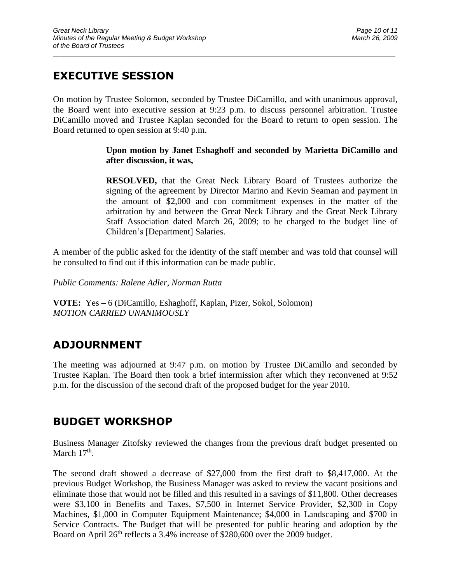# **EXECUTIVE SESSION**

On motion by Trustee Solomon, seconded by Trustee DiCamillo, and with unanimous approval, the Board went into executive session at 9:23 p.m. to discuss personnel arbitration. Trustee DiCamillo moved and Trustee Kaplan seconded for the Board to return to open session. The Board returned to open session at 9:40 p.m.

\_\_\_\_\_\_\_\_\_\_\_\_\_\_\_\_\_\_\_\_\_\_\_\_\_\_\_\_\_\_\_\_\_\_\_\_\_\_\_\_\_\_\_\_\_\_\_\_\_\_\_\_\_\_\_\_\_\_\_\_\_\_\_\_\_\_\_\_\_\_\_\_\_\_\_\_\_\_\_\_\_\_\_\_\_\_\_\_\_\_\_\_\_

### **Upon motion by Janet Eshaghoff and seconded by Marietta DiCamillo and after discussion, it was,**

**RESOLVED,** that the Great Neck Library Board of Trustees authorize the signing of the agreement by Director Marino and Kevin Seaman and payment in the amount of \$2,000 and con commitment expenses in the matter of the arbitration by and between the Great Neck Library and the Great Neck Library Staff Association dated March 26, 2009; to be charged to the budget line of Children's [Department] Salaries.

A member of the public asked for the identity of the staff member and was told that counsel will be consulted to find out if this information can be made public.

*Public Comments: Ralene Adler, Norman Rutta*

**VOTE:** Yes **–** 6 (DiCamillo, Eshaghoff, Kaplan, Pizer, Sokol, Solomon) *MOTION CARRIED UNANIMOUSLY*

# **ADJOURNMENT**

The meeting was adjourned at 9:47 p.m. on motion by Trustee DiCamillo and seconded by Trustee Kaplan. The Board then took a brief intermission after which they reconvened at 9:52 p.m. for the discussion of the second draft of the proposed budget for the year 2010.

# **BUDGET WORKSHOP**

Business Manager Zitofsky reviewed the changes from the previous draft budget presented on March 17<sup>th</sup>.

The second draft showed a decrease of \$27,000 from the first draft to \$8,417,000. At the previous Budget Workshop, the Business Manager was asked to review the vacant positions and eliminate those that would not be filled and this resulted in a savings of \$11,800. Other decreases were \$3,100 in Benefits and Taxes, \$7,500 in Internet Service Provider, \$2,300 in Copy Machines, \$1,000 in Computer Equipment Maintenance; \$4,000 in Landscaping and \$700 in Service Contracts. The Budget that will be presented for public hearing and adoption by the Board on April 26<sup>th</sup> reflects a 3.4% increase of \$280,600 over the 2009 budget.